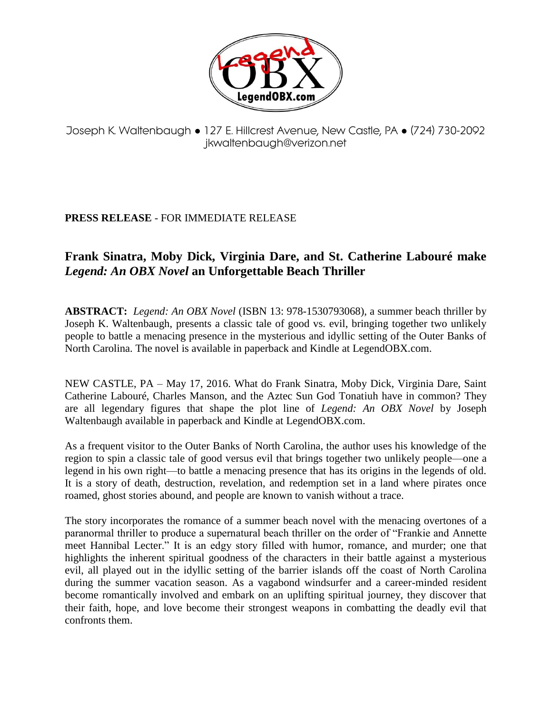

## Joseph K. Waltenbaugh ● 127 E. Hillcrest Avenue, New Castle, PA ● (724) 730-2092 jkwaltenbaugh@verizon.net

## **PRESS RELEASE** - FOR IMMEDIATE RELEASE

## **Frank Sinatra, Moby Dick, Virginia Dare, and St. Catherine Labouré make**  *Legend: An OBX Novel* **an Unforgettable Beach Thriller**

**ABSTRACT:** *Legend: An OBX Novel* (ISBN 13: 978-1530793068), a summer beach thriller by Joseph K. Waltenbaugh, presents a classic tale of good vs. evil, bringing together two unlikely people to battle a menacing presence in the mysterious and idyllic setting of the Outer Banks of North Carolina. The novel is available in paperback and Kindle at LegendOBX.com.

NEW CASTLE, PA – May 17, 2016. What do Frank Sinatra, Moby Dick, Virginia Dare, Saint Catherine Labouré, Charles Manson, and the Aztec Sun God Tonatiuh have in common? They are all legendary figures that shape the plot line of *Legend: An OBX Novel* by Joseph Waltenbaugh available in paperback and Kindle at LegendOBX.com.

As a frequent visitor to the Outer Banks of North Carolina, the author uses his knowledge of the region to spin a classic tale of good versus evil that brings together two unlikely people—one a legend in his own right—to battle a menacing presence that has its origins in the legends of old. It is a story of death, destruction, revelation, and redemption set in a land where pirates once roamed, ghost stories abound, and people are known to vanish without a trace.

The story incorporates the romance of a summer beach novel with the menacing overtones of a paranormal thriller to produce a supernatural beach thriller on the order of "Frankie and Annette meet Hannibal Lecter." It is an edgy story filled with humor, romance, and murder; one that highlights the inherent spiritual goodness of the characters in their battle against a mysterious evil, all played out in the idyllic setting of the barrier islands off the coast of North Carolina during the summer vacation season. As a vagabond windsurfer and a career-minded resident become romantically involved and embark on an uplifting spiritual journey, they discover that their faith, hope, and love become their strongest weapons in combatting the deadly evil that confronts them.